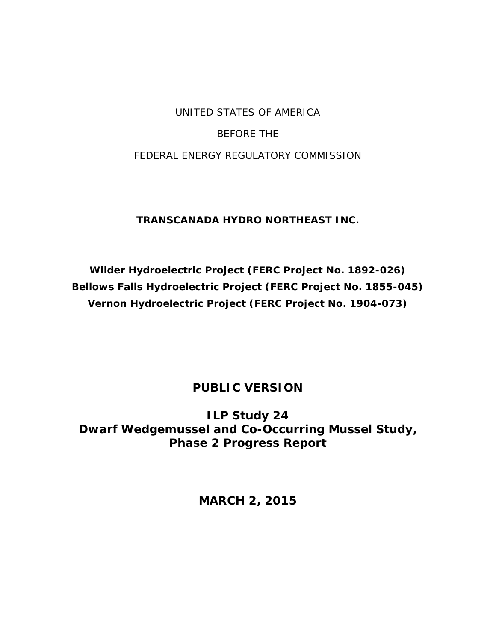## UNITED STATES OF AMERICA

### BEFORE THE

### FEDERAL ENERGY REGULATORY COMMISSION

## **TRANSCANADA HYDRO NORTHEAST INC.**

**Wilder Hydroelectric Project (FERC Project No. 1892-026) Bellows Falls Hydroelectric Project (FERC Project No. 1855-045) Vernon Hydroelectric Project (FERC Project No. 1904-073)**

## **PUBLIC VERSION**

**ILP Study 24 Dwarf Wedgemussel and Co-Occurring Mussel Study, Phase 2 Progress Report**

**MARCH 2, 2015**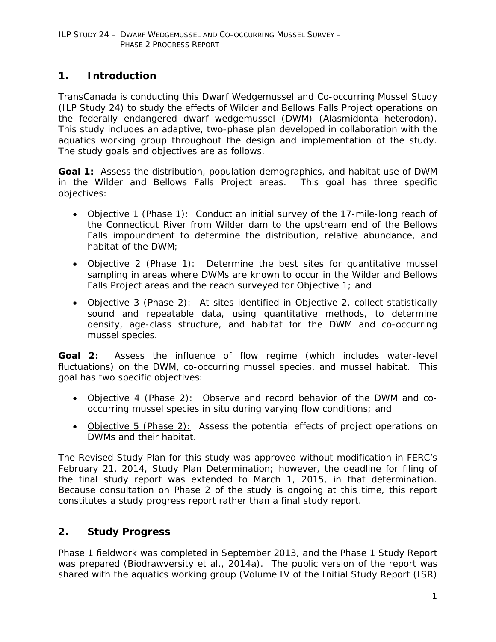## **1. Introduction**

TransCanada is conducting this Dwarf Wedgemussel and Co-occurring Mussel Study (ILP Study 24) to study the effects of Wilder and Bellows Falls Project operations on the federally endangered dwarf wedgemussel (DWM) (*Alasmidonta heterodon*). This study includes an adaptive, two-phase plan developed in collaboration with the aquatics working group throughout the design and implementation of the study. The study goals and objectives are as follows.

**Goal 1:** Assess the distribution, population demographics, and habitat use of DWM in the Wilder and Bellows Falls Project areas. This goal has three specific objectives:

- Objective 1 (Phase 1): Conduct an initial survey of the 17-mile-long reach of the Connecticut River from Wilder dam to the upstream end of the Bellows Falls impoundment to determine the distribution, relative abundance, and habitat of the DWM;
- Objective 2 (Phase 1): Determine the best sites for quantitative mussel sampling in areas where DWMs are known to occur in the Wilder and Bellows Falls Project areas and the reach surveyed for Objective 1; and
- Objective 3 (Phase 2): At sites identified in Objective 2, collect statistically sound and repeatable data, using quantitative methods, to determine density, age-class structure, and habitat for the DWM and co-occurring mussel species.

**Goal 2:** Assess the influence of flow regime (which includes water-level fluctuations) on the DWM, co-occurring mussel species, and mussel habitat. This goal has two specific objectives:

- Objective 4 (Phase 2): Observe and record behavior of the DWM and cooccurring mussel species *in situ* during varying flow conditions; and
- Objective 5 (Phase 2): Assess the potential effects of project operations on DWMs and their habitat.

The Revised Study Plan for this study was approved without modification in FERC's February 21, 2014, Study Plan Determination; however, the deadline for filing of the final study report was extended to March 1, 2015, in that determination. Because consultation on Phase 2 of the study is ongoing at this time, this report constitutes a study progress report rather than a final study report.

### **2. Study Progress**

Phase 1 fieldwork was completed in September 2013, and the Phase 1 Study Report was prepared (Biodrawversity et al., 2014a). The public version of the report was shared with the aquatics working group (Volume IV of the Initial Study Report (ISR)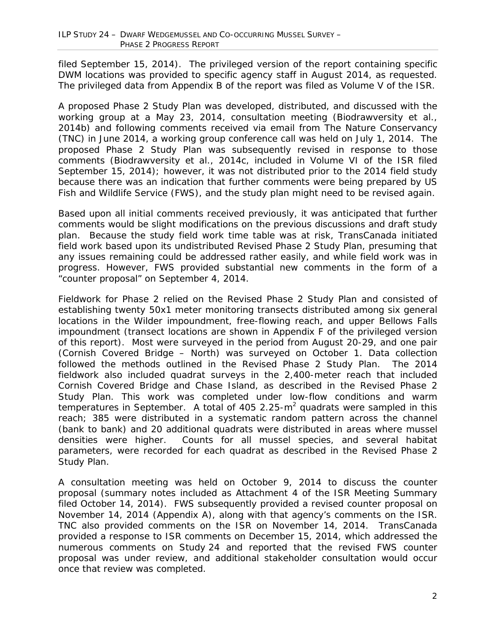filed September 15, 2014). The privileged version of the report containing specific DWM locations was provided to specific agency staff in August 2014, as requested. The privileged data from Appendix B of the report was filed as Volume V of the ISR.

A proposed Phase 2 Study Plan was developed, distributed, and discussed with the working group at a May 23, 2014, consultation meeting (Biodrawversity et al., 2014b) and following comments received via email from The Nature Conservancy (TNC) in June 2014, a working group conference call was held on July 1, 2014. The proposed Phase 2 Study Plan was subsequently revised in response to those comments (Biodrawversity et al., 2014c, included in Volume VI of the ISR filed September 15, 2014); however, it was not distributed prior to the 2014 field study because there was an indication that further comments were being prepared by US Fish and Wildlife Service (FWS), and the study plan might need to be revised again.

Based upon all initial comments received previously, it was anticipated that further comments would be slight modifications on the previous discussions and draft study plan. Because the study field work time table was at risk, TransCanada initiated field work based upon its undistributed Revised Phase 2 Study Plan, presuming that any issues remaining could be addressed rather easily, and while field work was in progress. However, FWS provided substantial new comments in the form of a "counter proposal" on September 4, 2014.

Fieldwork for Phase 2 relied on the Revised Phase 2 Study Plan and consisted of establishing twenty 50x1 meter monitoring transects distributed among six general locations in the Wilder impoundment, free-flowing reach, and upper Bellows Falls impoundment (transect locations are shown in Appendix F of the privileged version of this report). Most were surveyed in the period from August 20-29, and one pair (Cornish Covered Bridge – North) was surveyed on October 1. Data collection followed the methods outlined in the Revised Phase 2 Study Plan. The 2014 fieldwork also included quadrat surveys in the 2,400-meter reach that included Cornish Covered Bridge and Chase Island, as described in the Revised Phase 2 Study Plan. This work was completed under low-flow conditions and warm temperatures in September. A total of 405 2.25- $m<sup>2</sup>$  quadrats were sampled in this reach; 385 were distributed in a systematic random pattern across the channel (bank to bank) and 20 additional quadrats were distributed in areas where mussel densities were higher. Counts for all mussel species, and several habitat parameters, were recorded for each quadrat as described in the Revised Phase 2 Study Plan.

A consultation meeting was held on October 9, 2014 to discuss the counter proposal (summary notes included as Attachment 4 of the ISR Meeting Summary filed October 14, 2014). FWS subsequently provided a revised counter proposal on November 14, 2014 (Appendix A), along with that agency's comments on the ISR. TNC also provided comments on the ISR on November 14, 2014. TransCanada provided a response to ISR comments on December 15, 2014, which addressed the numerous comments on Study 24 and reported that the revised FWS counter proposal was under review, and additional stakeholder consultation would occur once that review was completed.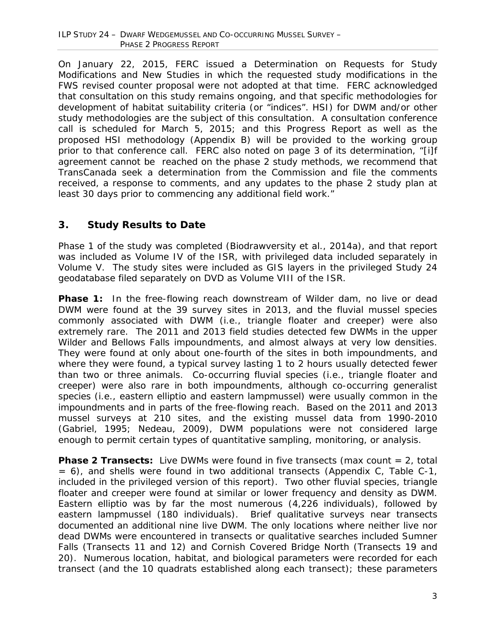On January 22, 2015, FERC issued a Determination on Requests for Study Modifications and New Studies in which the requested study modifications in the FWS revised counter proposal were not adopted at that time. FERC acknowledged that consultation on this study remains ongoing, and that specific methodologies for development of habitat suitability criteria (or "indices". HSI) for DWM and/or other study methodologies are the subject of this consultation. A consultation conference call is scheduled for March 5, 2015; and this Progress Report as well as the proposed HSI methodology (Appendix B) will be provided to the working group prior to that conference call. FERC also noted on page 3 of its determination, "[i]f agreement cannot be reached on the phase 2 study methods, we recommend that TransCanada seek a determination from the Commission and file the comments received, a response to comments, and any updates to the phase 2 study plan at least 30 days prior to commencing any additional field work."

## **3. Study Results to Date**

Phase 1 of the study was completed (Biodrawversity et al., 2014a), and that report was included as Volume IV of the ISR, with privileged data included separately in Volume V. The study sites were included as GIS layers in the privileged Study 24 geodatabase filed separately on DVD as Volume VIII of the ISR.

**Phase 1:** In the free-flowing reach downstream of Wilder dam, no live or dead DWM were found at the 39 survey sites in 2013, and the fluvial mussel species commonly associated with DWM (i.e., triangle floater and creeper) were also extremely rare. The 2011 and 2013 field studies detected few DWMs in the upper Wilder and Bellows Falls impoundments, and almost always at very low densities. They were found at only about one-fourth of the sites in both impoundments, and where they were found, a typical survey lasting 1 to 2 hours usually detected fewer than two or three animals. Co-occurring fluvial species (i.e., triangle floater and creeper) were also rare in both impoundments, although co-occurring generalist species (i.e., eastern elliptio and eastern lampmussel) were usually common in the impoundments and in parts of the free-flowing reach. Based on the 2011 and 2013 mussel surveys at 210 sites, and the existing mussel data from 1990-2010 (Gabriel, 1995; Nedeau, 2009), DWM populations were not considered large enough to permit certain types of quantitative sampling, monitoring, or analysis.

**Phase 2 Transects:** Live DWMs were found in five transects (max count = 2, total  $= 6$ ), and shells were found in two additional transects (Appendix C, Table C-1, included in the privileged version of this report). Two other fluvial species, triangle floater and creeper were found at similar or lower frequency and density as DWM. Eastern elliptio was by far the most numerous (4,226 individuals), followed by eastern lampmussel (180 individuals). Brief qualitative surveys near transects documented an additional nine live DWM. The only locations where neither live nor dead DWMs were encountered in transects or qualitative searches included Sumner Falls (Transects 11 and 12) and Cornish Covered Bridge North (Transects 19 and 20). Numerous location, habitat, and biological parameters were recorded for each transect (and the 10 quadrats established along each transect); these parameters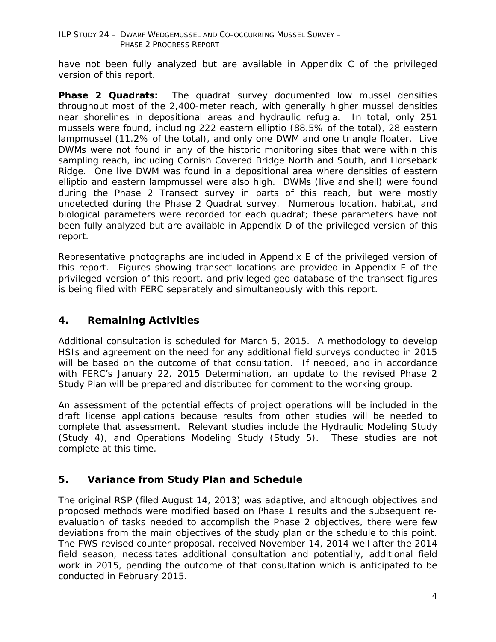have not been fully analyzed but are available in Appendix C of the privileged version of this report.

**Phase 2 Quadrats:** The quadrat survey documented low mussel densities throughout most of the 2,400-meter reach, with generally higher mussel densities near shorelines in depositional areas and hydraulic refugia. In total, only 251 mussels were found, including 222 eastern elliptio (88.5% of the total), 28 eastern lampmussel (11.2% of the total), and only one DWM and one triangle floater. Live DWMs were not found in any of the historic monitoring sites that were within this sampling reach, including Cornish Covered Bridge North and South, and Horseback Ridge. One live DWM was found in a depositional area where densities of eastern elliptio and eastern lampmussel were also high. DWMs (live and shell) were found during the Phase 2 Transect survey in parts of this reach, but were mostly undetected during the Phase 2 Quadrat survey. Numerous location, habitat, and biological parameters were recorded for each quadrat; these parameters have not been fully analyzed but are available in Appendix D of the privileged version of this report.

Representative photographs are included in Appendix E of the privileged version of this report. Figures showing transect locations are provided in Appendix F of the privileged version of this report, and privileged geo database of the transect figures is being filed with FERC separately and simultaneously with this report.

## **4. Remaining Activities**

Additional consultation is scheduled for March 5, 2015. A methodology to develop HSIs and agreement on the need for any additional field surveys conducted in 2015 will be based on the outcome of that consultation. If needed, and in accordance with FERC's January 22, 2015 Determination, an update to the revised Phase 2 Study Plan will be prepared and distributed for comment to the working group.

An assessment of the potential effects of project operations will be included in the draft license applications because results from other studies will be needed to complete that assessment. Relevant studies include the Hydraulic Modeling Study (Study 4), and Operations Modeling Study (Study 5). These studies are not complete at this time.

### **5. Variance from Study Plan and Schedule**

The original RSP (filed August 14, 2013) was adaptive, and although objectives and proposed methods were modified based on Phase 1 results and the subsequent reevaluation of tasks needed to accomplish the Phase 2 objectives, there were few deviations from the main objectives of the study plan or the schedule to this point. The FWS revised counter proposal, received November 14, 2014 well after the 2014 field season, necessitates additional consultation and potentially, additional field work in 2015, pending the outcome of that consultation which is anticipated to be conducted in February 2015.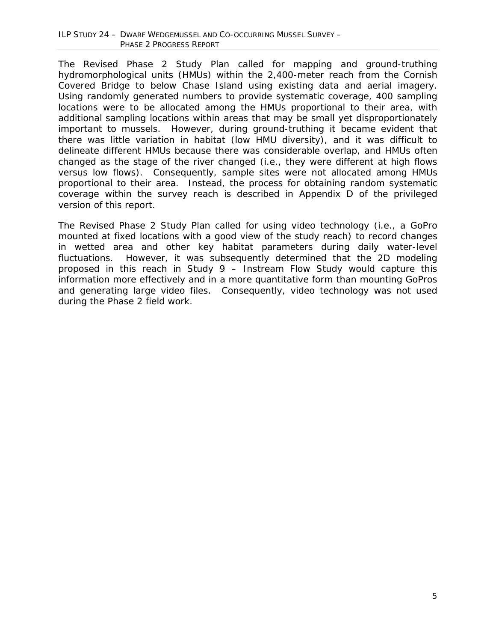The Revised Phase 2 Study Plan called for mapping and ground-truthing hydromorphological units (HMUs) within the 2,400-meter reach from the Cornish Covered Bridge to below Chase Island using existing data and aerial imagery. Using randomly generated numbers to provide systematic coverage, 400 sampling locations were to be allocated among the HMUs proportional to their area, with additional sampling locations within areas that may be small yet disproportionately important to mussels. However, during ground-truthing it became evident that there was little variation in habitat (low HMU diversity), and it was difficult to delineate different HMUs because there was considerable overlap, and HMUs often changed as the stage of the river changed (i.e., they were different at high flows versus low flows). Consequently, sample sites were not allocated among HMUs proportional to their area. Instead, the process for obtaining random systematic coverage within the survey reach is described in Appendix D of the privileged version of this report.

The Revised Phase 2 Study Plan called for using video technology (i.e., a GoPro mounted at fixed locations with a good view of the study reach) to record changes in wetted area and other key habitat parameters during daily water-level fluctuations. However, it was subsequently determined that the 2D modeling proposed in this reach in Study 9 – Instream Flow Study would capture this information more effectively and in a more quantitative form than mounting GoPros and generating large video files. Consequently, video technology was not used during the Phase 2 field work.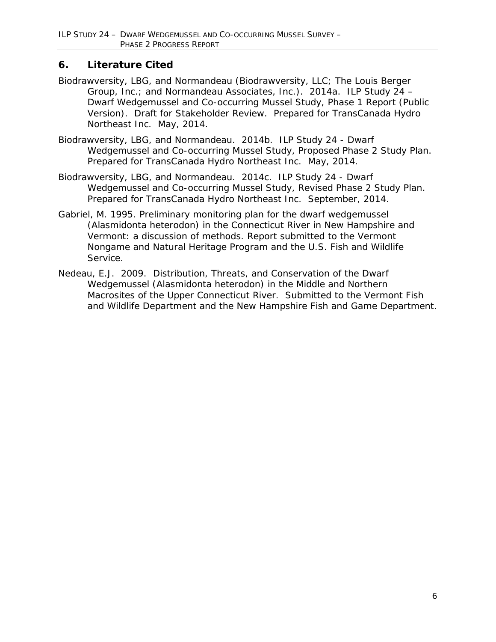## **6. Literature Cited**

- Biodrawversity, LBG, and Normandeau (Biodrawversity, LLC; The Louis Berger Group, Inc.; and Normandeau Associates, Inc.). 2014a. ILP Study 24 – Dwarf Wedgemussel and Co-occurring Mussel Study, Phase 1 Report (Public Version). Draft for Stakeholder Review. Prepared for TransCanada Hydro Northeast Inc. May, 2014.
- Biodrawversity, LBG, and Normandeau. 2014b. ILP Study 24 Dwarf Wedgemussel and Co-occurring Mussel Study, Proposed Phase 2 Study Plan. Prepared for TransCanada Hydro Northeast Inc. May, 2014.
- Biodrawversity, LBG, and Normandeau. 2014c. ILP Study 24 Dwarf Wedgemussel and Co-occurring Mussel Study, Revised Phase 2 Study Plan. Prepared for TransCanada Hydro Northeast Inc. September, 2014.
- Gabriel, M. 1995. Preliminary monitoring plan for the dwarf wedgemussel (Alasmidonta heterodon) in the Connecticut River in New Hampshire and Vermont: a discussion of methods. Report submitted to the Vermont Nongame and Natural Heritage Program and the U.S. Fish and Wildlife Service.
- Nedeau, E.J. 2009. Distribution, Threats, and Conservation of the Dwarf Wedgemussel (*Alasmidonta heterodon*) in the Middle and Northern Macrosites of the Upper Connecticut River. Submitted to the Vermont Fish and Wildlife Department and the New Hampshire Fish and Game Department.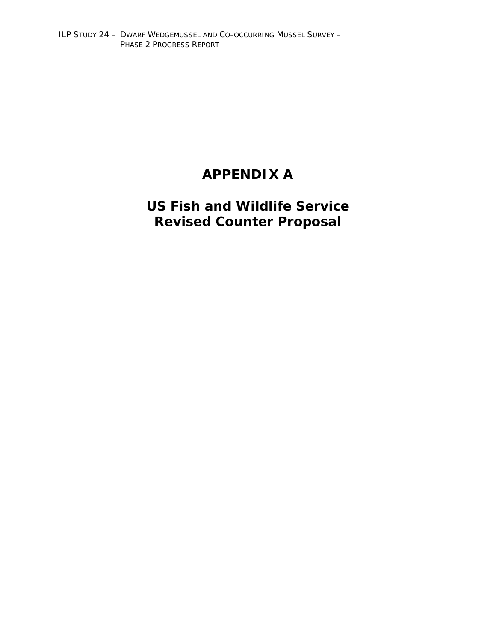## **APPENDIX A**

# **US Fish and Wildlife Service Revised Counter Proposal**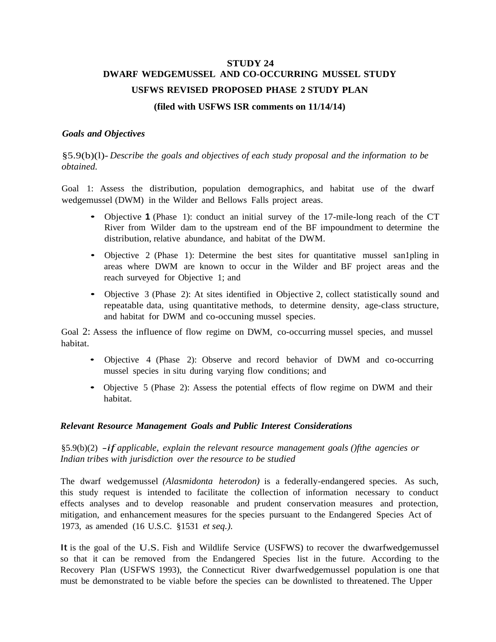## **STUDY 24 DWARF WEDGEMUSSEL AND CO-OCCURRING MUSSEL STUDY USFWS REVISED PROPOSED PHASE 2 STUDY PLAN (filed with USFWS ISR comments on 11/14/14)**

#### *Goals and Objectives*

§5.9(b)(l)- *Describe the goals and objectives of each study proposal and the information to be obtained.*

Goal 1: Assess the distribution, population demographics, and habitat use of the dwarf wedgemussel (DWM) in the Wilder and Bellows Falls project areas.

- Objective **<sup>1</sup>** (Phase 1): conduct an initial survey of the 17-mile-long reach of the CT River from Wilder dam to the upstream end of the BF impoundment to determine the distribution, relative abundance, and habitat of the DWM.
- Objective 2 (Phase 1): Determine the best sites for quantitative mussel sandpling in areas where DWM are known to occur in the Wilder and BF project areas and the reach surveyed for Objective 1; and
- Objective 3 (Phase 2): At sites identified in Objective 2, collect statistically sound and repeatable data, using quantitative methods, to determine density, age-class structure, and habitat for DWM and co-occuning mussel species.

Goal 2: Assess the influence of flow regime on DWM, co-occurring mussel species, and mussel habitat.

- Objective 4 (Phase 2): Observe and record behavior of DWM and co-occurring mussel species in situ during varying flow conditions; and
- Objective 5 (Phase 2): Assess the potential effects of flow regime on DWM and their habitat.

#### *Relevant Resource Management Goals and Public Interest Considerations*

§5.9(b)(2) *-if applicable, explain the relevant resource management goals ()fthe agencies or Indian tribes with jurisdiction over the resource to be studied*

The dwarf wedgemussel *(Alasmidonta heterodon)* is a federally-endangered species. As such, this study request is intended to facilitate the collection of information necessary to conduct effects analyses and to develop reasonable and prudent conservation measures and protection, mitigation, and enhancement measures for the species pursuant to the Endangered Species Act of 1973, as amended (16 U.S.C. §1531 *et seq.).*

It is the goal of the U.S. Fish and Wildlife Service (USFWS) to recover the dwarfwedgemussel so that it can be removed from the Endangered Species list in the future. According to the Recovery Plan (USFWS 1993), the Connecticut River dwarfwedgemussel population is one that must be demonstrated to be viable before the species can be downlisted to threatened. The Upper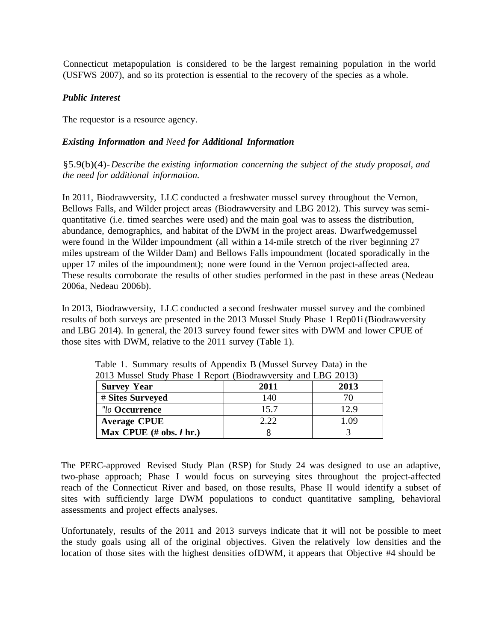Connecticut metapopulation is considered to be the largest remaining population in the world (USFWS 2007), and so its protection is essential to the recovery of the species as a whole.

#### *Public Interest*

The requestor is a resource agency.

#### *Existing Information and Need for Additional Information*

§5.9(b)(4)-*Describe the existing information concerning the subject of the study proposal, and the need for additional information.*

In 2011, Biodrawversity, LLC conducted a freshwater mussel survey throughout the Vernon, Bellows Falls, and Wilder project areas (Biodrawversity and LBG 2012). This survey was semiquantitative (i.e. timed searches were used) and the main goal was to assess the distribution, abundance, demographics, and habitat of the DWM in the project areas. Dwarfwedgemussel were found in the Wilder impoundment (all within a 14-mile stretch of the river beginning 27 miles upstream of the Wilder Dam) and Bellows Falls impoundment (located sporadically in the upper 17 miles of the impoundment); none were found in the Vernon project-affected area. These results corroborate the results of other studies performed in the past in these areas (Nedeau 2006a, Nedeau 2006b).

In 2013, Biodrawversity, LLC conducted a second freshwater mussel survey and the combined results of both surveys are presented in the 2013 Mussel Study Phase 1 Rep01i (Biodrawversity and LBG 2014). In general, the 2013 survey found fewer sites with DWM and lower CPUE of those sites with DWM, relative to the 2011 survey (Table 1).

| $-0.10$ $-0.100$                            |      |      |
|---------------------------------------------|------|------|
| <b>Survey Year</b>                          | 2011 | 2013 |
| # Sites Surveyed                            | 140  |      |
| "lo Occurrence                              | 15.7 | 12.9 |
| <b>Average CPUE</b>                         | 2.22 | .09  |
| Max CPUE $(\# \text{ obs. } I \text{ hr.})$ |      |      |

Table 1. Summary results of Appendix B (Mussel Survey Data) in the 2013 Mussel Study Phase 1 Report (Biodrawversity and LBG 2013)

The PERC-approved Revised Study Plan (RSP) for Study 24 was designed to use an adaptive, two-phase approach; Phase I would focus on surveying sites throughout the project-affected reach of the Connecticut River and based, on those results, Phase II would identify a subset of sites with sufficiently large DWM populations to conduct quantitative sampling, behavioral assessments and project effects analyses.

Unfortunately, results of the 2011 and 2013 surveys indicate that it will not be possible to meet the study goals using all of the original objectives. Given the relatively low densities and the location of those sites with the highest densities ofDWM, it appears that Objective #4 should be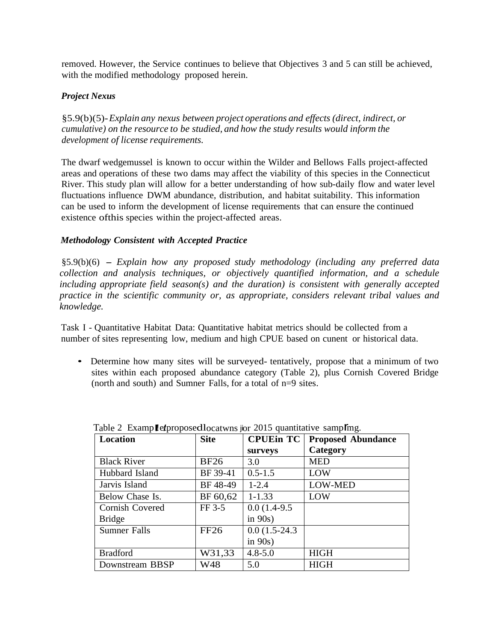removed. However, the Service continues to believe that Objectives 3 and 5 can still be achieved, with the modified methodology proposed herein.

#### *Project Nexus*

§5.9(b)(5)-*Explain any nexus between project operations and effects (direct, indirect, or cumulative) on the resource to be studied, and how the study results would inform the development of license requirements.*

The dwarf wedgemussel is known to occur within the Wilder and Bellows Falls project-affected areas and operations of these two dams may affect the viability of this species in the Connecticut River. This study plan will allow for a better understanding of how sub-daily flow and water level fluctuations influence DWM abundance, distribution, and habitat suitability. This information can be used to inform the development of license requirements that can ensure the continued existence ofthis species within the project-affected areas.

#### *Methodology Consistent with Accepted Practice*

§5.9(b)(6) - *Explain how any proposed study methodology (including any preferred data collection and analysis techniques, or objectively quantified information, and a schedule including appropriate field season(s) and the duration) is consistent with generally accepted practice in the scientific community or, as appropriate, considers relevant tribal values and knowledge.*

Task I - Quantitative Habitat Data: Quantitative habitat metrics should be collected from a number of sites representing low, medium and high CPUE based on cunent or historical data.

• Determine how many sites will be surveyed- tentatively, propose that a minimum of two sites within each proposed abundance category (Table 2), plus Cornish Covered Bridge (north and south) and Sumner Falls, for a total of n=9 sites.

| Location            | <b>Site</b> | <b>CPUE</b> in TC | <b>Proposed Abundance</b> |
|---------------------|-------------|-------------------|---------------------------|
|                     |             | surveys           | Category                  |
| <b>Black River</b>  | <b>BF26</b> | 3.0               | <b>MED</b>                |
| Hubbard Island      | BF 39-41    | $0.5 - 1.5$       | LOW                       |
| Jarvis Island       | BF 48-49    | $1 - 2.4$         | <b>LOW-MED</b>            |
| Below Chase Is.     | BF 60,62    | $1 - 1.33$        | LOW                       |
| Cornish Covered     | FF 3-5      | $0.0(1.4-9.5)$    |                           |
| <b>Bridge</b>       |             | in $90s$ )        |                           |
| <b>Sumner Falls</b> | FF26        | $0.0(1.5-24.3)$   |                           |
|                     |             | in $90s$ )        |                           |
| <b>Bradford</b>     | W31,33      | $4.8 - 5.0$       | <b>HIGH</b>               |
| Downstream BBSP     | W48         | 5.0               | <b>HIGH</b>               |

Table 2 Examp**Le** *i*ncoposed locatwns jor 2015 quantitative sampling.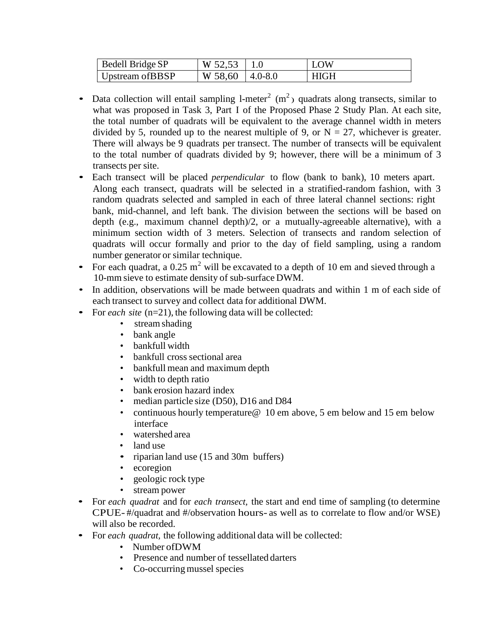| <b>Bedell Bridge SP</b> | W $52,53$   1.0 |               | LOW         |
|-------------------------|-----------------|---------------|-------------|
| Upstream of BBSP        | W 58,60         | $ 4.0 - 8.0 $ | <b>HIGH</b> |

- Data collection will entail sampling 1-meter<sup>2</sup> (m<sup>2</sup>) quadrats along transects, similar to what was proposed in Task 3, Part I of the Proposed Phase 2 Study Plan. At each site, the total number of quadrats will be equivalent to the average channel width in meters divided by 5, rounded up to the nearest multiple of 9, or  $N = 27$ , whichever is greater. There will always be 9 quadrats per transect. The number of transects will be equivalent to the total number of quadrats divided by 9; however, there will be a minimum of 3 transects per site.
- Each transect will be placed *perpendicular* to flow (bank to bank), <sup>10</sup> meters apart. Along each transect, quadrats will be selected in a stratified-random fashion, with 3 random quadrats selected and sampled in each of three lateral channel sections: right bank, mid-channel, and left bank. The division between the sections will be based on depth (e.g., maximum channel depth)/2, or a mutually-agreeable alternative), with a minimum section width of 3 meters. Selection of transects and random selection of quadrats will occur formally and prior to the day of field sampling, using a random number generator or similar technique.
- For each quadrat, a 0.25 m<sup>2</sup> will be excavated to a depth of 10 em and sieved through a 10-mm sieve to estimate density of sub-surface DWM.
- In addition, observations will be made between quadrats and within 1 m of each side of each transect to survey and collect data for additional DWM.
- For *each site* (n=21), the following data will be collected:
	- stream shading
	- bank angle
	- bankfull width
	- bankfull cross sectional area
	- bankfull mean and maximum depth
	- width to depth ratio
	- bank erosion hazard index
	- median particle size (D50), D16 and D84
	- continuous hourly temperature @ 10 em above, 5 em below and 15 em below interface
	- watershed area
	- land use
	- riparian land use (15 and 30m buffers)
	- ecoregion
	- geologic rock type
	- stream power
- For *each quadrat* and for *each transect,* the start and end time of sampling (to determine CPUE- #/quadrat and #/observation hours- as well as to correlate to flow and/or WSE) will also be recorded.
- For *each quadrat,* the following additional data will be collected:
	- Number ofDWM
	- Presence and number of tessellated darters
	- Co-occurring mussel species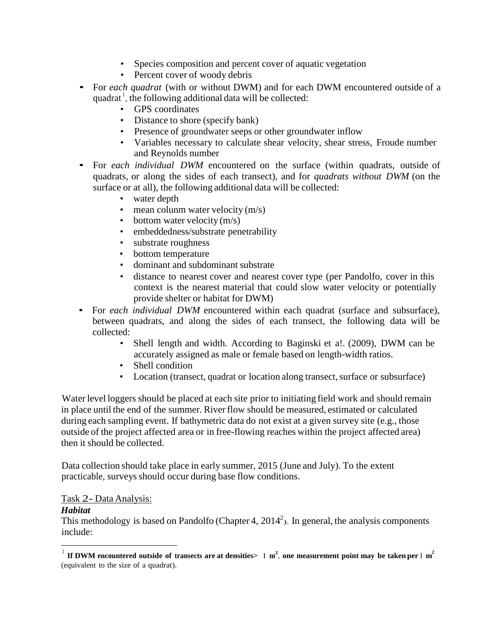- Species composition and percent cover of aquatic vegetation
- Percent cover of woody debris
- For *each quadrat* (with or without DWM) and for each DWM encountered outside of <sup>a</sup> quadrat<sup>1</sup>, the following additional data will be collected:
	- GPS coordinates
	- Distance to shore (specify bank)
	- Presence of groundwater seeps or other groundwater inflow
	- Variables necessary to calculate shear velocity, shear stress, Froude number and Reynolds number
- For *each individual DWM* encountered on the surface (within quadrats, outside of quadrats, or along the sides of each transect), and for *quadrats without DWM* (on the surface or at all), the following additional data will be collected:
	- water depth
	- mean column water velocity  $(m/s)$
	- bottom water velocity  $(m/s)$
	- embeddedness/substrate penetrability
	- substrate roughness
	- bottom temperature
	- dominant and subdominant substrate
	- distance to nearest cover and nearest cover type (per Pandolfo, cover in this context is the nearest material that could slow water velocity or potentially provide shelter or habitat for DWM)
- For *each individual DWM* encountered within each quadrat (surface and subsurface), between quadrats, and along the sides of each transect, the following data will be collected:
	- Shell length and width. According to Baginski et al. (2009), DWM can be accurately assigned as male or female based on length-width ratios.
	- Shell condition
	- Location (transect, quadrat or location along transect, surface or subsurface)

Water level loggers should be placed at each site prior to initiating field work and should remain in place until the end of the summer. River flow should be measured, estimated or calculated during each sampling event. If bathymetric data do not exist at a given survey site (e.g., those outside of the project affected area or in free-flowing reaches within the project affected area) then it should be collected.

Data collection should take place in early summer, 2015 (June and July). To the extent practicable, surveys should occur during base flow conditions.

#### Task 2- Data Analysis:

#### *Habitat*

This methodology is based on Pandolfo (Chapter 4,  $2014^2$ ). In general, the analysis components include:

<sup>&</sup>lt;sup>1</sup> If DWM encountered outside of transects are at densities > 1 m<sup>2</sup>, one measurement point may be taken per I m<sup>2</sup> (equivalent to the size of a quadrat).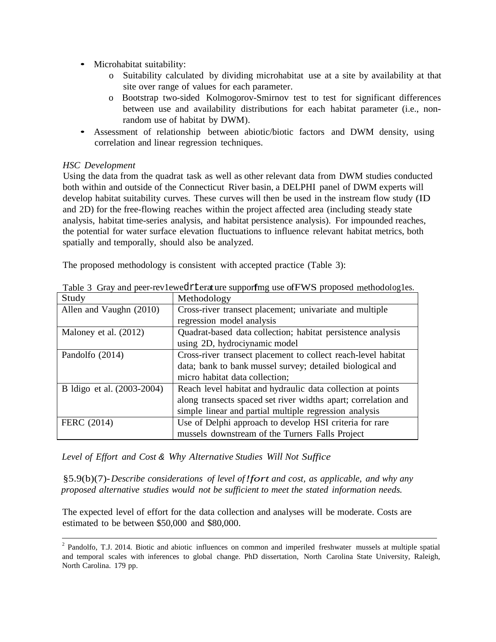- Microhabitat suitability:
	- o Suitability calculated by dividing microhabitat use at a site by availability at that site over range of values for each parameter.
	- o Bootstrap two-sided Kolmogorov-Smirnov test to test for significant differences between use and availability distributions for each habitat parameter (i.e., nonrandom use of habitat by DWM).
- Assessment of relationship between abiotic/biotic factors and DWM density, using correlation and linear regression techniques.

#### *HSC Development*

Using the data from the quadrat task as well as other relevant data from DWM studies conducted both within and outside of the Connecticut River basin, a DELPHI panel of DWM experts will develop habitat suitability curves. These curves will then be used in the instream flow study (ID and 2D) for the free-flowing reaches within the project affected area (including steady state analysis, habitat time-series analysis, and habitat persistence analysis). For impounded reaches, the potential for water surface elevation fluctuations to influence relevant habitat metrics, both spatially and temporally, should also be analyzed.

The proposed methodology is consistent with accepted practice (Table 3):

| Study                      | Methodology                                                    |  |
|----------------------------|----------------------------------------------------------------|--|
| Allen and Vaughn (2010)    | Cross-river transect placement; univariate and multiple        |  |
|                            | regression model analysis                                      |  |
| Maloney et al. (2012)      | Quadrat-based data collection; habitat persistence analysis    |  |
|                            | using 2D, hydrociynamic model                                  |  |
| Pandolfo (2014)            | Cross-river transect placement to collect reach-level habitat  |  |
|                            | data; bank to bank mussel survey; detailed biological and      |  |
|                            | micro habitat data collection;                                 |  |
| B Idigo et al. (2003-2004) | Reach level habitat and hydraulic data collection at points    |  |
|                            | along transects spaced set river widths apart; correlation and |  |
|                            | simple linear and partial multiple regression analysis         |  |
| FERC (2014)                | Use of Delphi approach to develop HSI criteria for rare        |  |
|                            | mussels downstream of the Turners Falls Project                |  |

Table 3 Gray and peer-rev1ewedr1terature supporfing use of FWS proposed methodolog1es.

*Level of Effort and Cost & Why Alternative Studies Will Not Suffice*

§5.9(b)(7)-*Describe considerations of level of!fort and cost, as applicable, and why any proposed alternative studies would not be sufficient to meet the stated information needs.*

The expected level of effort for the data collection and analyses will be moderate. Costs are estimated to be between \$50,000 and \$80,000.

<sup>2</sup> Pandolfo, T.J. 2014. Biotic and abiotic influences on common and imperiled freshwater mussels at multiple spatial and temporal scales with inferences to global change. PhD dissertation, North Carolina State University, Raleigh, North Carolina. 179 pp.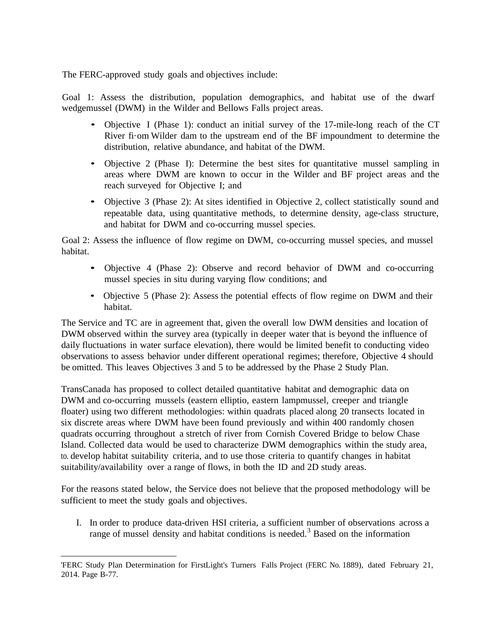The FERC-approved study goals and objectives include:

Goal 1: Assess the distribution, population demographics, and habitat use of the dwarf wedgemussel (DWM) in the Wilder and Bellows Falls project areas.

- Objective I (Phase 1): conduct an initial survey of the 17-mile-long reach of the CT River fi·om Wilder dam to the upstream end of the BF impoundment to determine the distribution, relative abundance, and habitat of the DWM.
- Objective 2 (Phase I): Determine the best sites for quantitative mussel sampling in areas where DWM are known to occur in the Wilder and BF project areas and the reach surveyed for Objective I; and
- Objective 3 (Phase 2): At sites identified in Objective 2, collect statistically sound and repeatable data, using quantitative methods, to determine density, age-class structure, and habitat for DWM and co-occurring mussel species.

Goal 2: Assess the influence of flow regime on DWM, co-occurring mussel species, and mussel habitat.

- Objective 4 (Phase 2): Observe and record behavior of DWM and co-occurring mussel species in situ during varying flow conditions; and
- Objective 5 (Phase 2): Assess the potential effects of flow regime on DWM and their habitat.

The Service and TC are in agreement that, given the overall low DWM densities and location of DWM observed within the survey area (typically in deeper water that is beyond the influence of daily fluctuations in water surface elevation), there would be limited benefit to conducting video observations to assess behavior under different operational regimes; therefore, Objective 4 should be omitted. This leaves Objectives 3 and 5 to be addressed by the Phase 2 Study Plan.

TransCanada has proposed to collect detailed quantitative habitat and demographic data on DWM and co-occurring mussels (eastern elliptio, eastern lampmussel, creeper and triangle floater) using two different methodologies: within quadrats placed along 20 transects located in six discrete areas where DWM have been found previously and within 400 randomly chosen quadrats occurring throughout a stretch of river from Cornish Covered Bridge to below Chase Island. Collected data would be used to characterize DWM demographics within the study area, to. develop habitat suitability criteria, and to use those criteria to quantify changes in habitat suitability/availability over a range of flows, in both the ID and 2D study areas.

For the reasons stated below, the Service does not believe that the proposed methodology will be sufficient to meet the study goals and objectives.

I. In order to produce data-driven HSI criteria, a sufficient number of observations across a range of mussel density and habitat conditions is needed. <sup>3</sup> Based on the information

<sup>&#</sup>x27;FERC Study Plan Determination for FirstLight's Turners Falls Project (FERC No. 1889), dated February 21, 2014. Page B-77.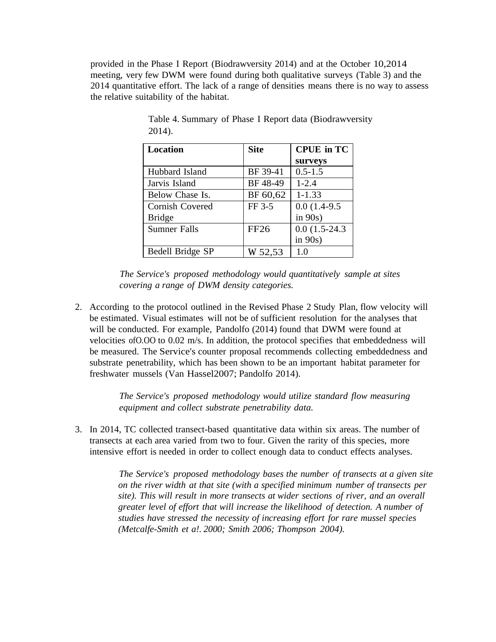provided in the Phase I Report (Biodrawversity 2014) and at the October 10,2014 meeting, very few DWM were found during both qualitative surveys (Table 3) and the 2014 quantitative effort. The lack of a range of densities means there is no way to assess the relative suitability of the habitat.

| Location            | <b>Site</b> | <b>CPUE</b> in TC |
|---------------------|-------------|-------------------|
|                     |             | surveys           |
| Hubbard Island      | BF 39-41    | $0.5 - 1.5$       |
| Jarvis Island       | BF 48-49    | $1 - 2.4$         |
| Below Chase Is.     | BF 60,62    | $1 - 1.33$        |
| Cornish Covered     | FF 3-5      | $0.0(1.4-9.5)$    |
| <b>Bridge</b>       |             | in $90s$ )        |
| <b>Sumner Falls</b> | <b>FF26</b> | $0.0(1.5-24.3)$   |
|                     |             | in $90s$ )        |
| Bedell Bridge SP    | W 52,53     | 1.0               |

Table 4. Summary of Phase I Report data (Biodrawversity 2014).

*The Service's proposed methodology would quantitatively sample at sites covering a range of DWM density categories.*

2. According to the protocol outlined in the Revised Phase 2 Study Plan, flow velocity will be estimated. Visual estimates will not be of sufficient resolution for the analyses that will be conducted. For example, Pandolfo (2014) found that DWM were found at velocities ofO.OO to 0.02 m/s. In addition, the protocol specifies that embeddedness will be measured. The Service's counter proposal recommends collecting embeddedness and substrate penetrability, which has been shown to be an important habitat parameter for freshwater mussels (Van Hassel2007; Pandolfo 2014).

> *The Service's proposed methodology would utilize standard flow measuring equipment and collect substrate penetrability data.*

3. In 2014, TC collected transect-based quantitative data within six areas. The number of transects at each area varied from two to four. Given the rarity of this species, more intensive effort is needed in order to collect enough data to conduct effects analyses.

> *The Service's proposed methodology bases the number of transects at a given site on the river width at that site (with a specified minimum number of transects per site). This will result in more transects at wider sections of river, and an overall greater level of effort that will increase the likelihood of detection. A number of studies have stressed the necessity of increasing effort for rare mussel species (Metcalfe-Smith et a!. 2000; Smith 2006; Thompson 2004).*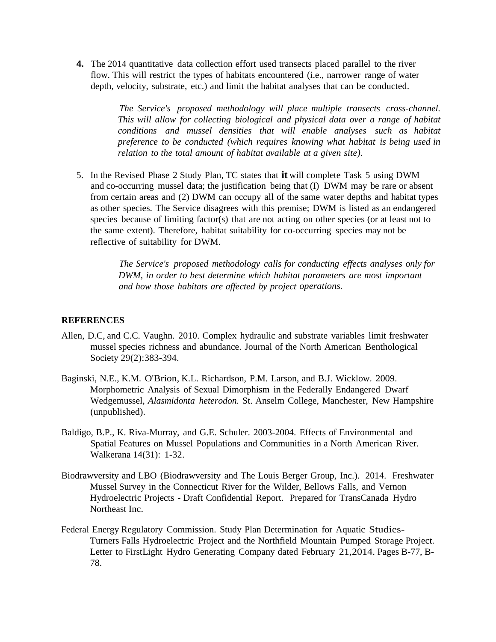**4.** The 2014 quantitative data collection effort used transects placed parallel to the river flow. This will restrict the types of habitats encountered (i.e., narrower range of water depth, velocity, substrate, etc.) and limit the habitat analyses that can be conducted.

> *The Service's proposed methodology will place multiple transects cross-channel. This will allow for collecting biological and physical data over a range of habitat conditions and mussel densities that will enable analyses such as habitat preference to be conducted (which requires knowing what habitat is being used in relation to the total amount of habitat available at a given site).*

5. In the Revised Phase 2 Study Plan, TC states that **it** will complete Task 5 using DWM and co-occurring mussel data; the justification being that (I) DWM may be rare or absent from certain areas and (2) DWM can occupy all of the same water depths and habitat types as other species. The Service disagrees with this premise; DWM is listed as an endangered species because of limiting factor(s) that are not acting on other species (or at least not to the same extent). Therefore, habitat suitability for co-occurring species may not be reflective of suitability for DWM.

> *The Service's proposed methodology calls for conducting effects analyses only for DWM, in order to best determine which habitat parameters are most important and how those habitats are affected by project operations.*

#### **REFERENCES**

- Allen, D.C, and C.C. Vaughn. 2010. Complex hydraulic and substrate variables limit freshwater mussel species richness and abundance. Journal of the North American Benthological Society 29(2):383-394.
- Baginski, N.E., K.M. O'Brion, K.L. Richardson, P.M. Larson, and B.J. Wicklow. 2009. Morphometric Analysis of Sexual Dimorphism in the Federally Endangered Dwarf Wedgemussel, *Alasmidonta heterodon.* St. Anselm College, Manchester, New Hampshire (unpublished).
- Baldigo, B.P., K. Riva-Murray, and G.E. Schuler. 2003-2004. Effects of Environmental and Spatial Features on Mussel Populations and Communities in a North American River. Walkerana 14(31): 1-32.
- Biodrawversity and LBO (Biodrawversity and The Louis Berger Group, Inc.). 2014. Freshwater Mussel Survey in the Connecticut River for the Wilder, Bellows Falls, and Vernon Hydroelectric Projects - Draft Confidential Report. Prepared for TransCanada Hydro Northeast Inc.
- Federal Energy Regulatory Commission. Study Plan Determination for Aquatic Studies-Turners Falls Hydroelectric Project and the Northfield Mountain Pumped Storage Project. Letter to FirstLight Hydro Generating Company dated February 21,2014. Pages B-77, B-78.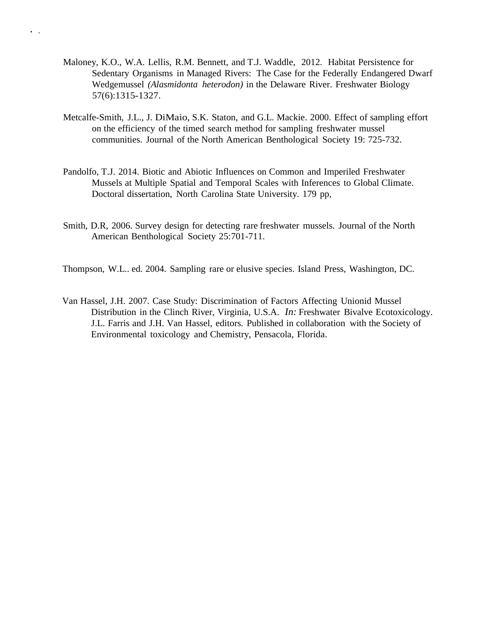Maloney, K.O., W.A. Lellis, R.M. Bennett, and T.J. Waddle, 2012. Habitat Persistence for Sedentary Organisms in Managed Rivers: The Case for the Federally Endangered Dwarf Wedgemussel *(Alasmidonta heterodon)* in the Delaware River. Freshwater Biology 57(6):1315-1327.

' '

- Metcalfe-Smith, J.L., J. DiMaio, S.K. Staton, and G.L. Mackie. 2000. Effect of sampling effort on the efficiency of the timed search method for sampling freshwater mussel communities. Journal of the North American Benthological Society 19: 725-732.
- Pandolfo, T.J. 2014. Biotic and Abiotic Influences on Common and Imperiled Freshwater Mussels at Multiple Spatial and Temporal Scales with Inferences to Global Climate. Doctoral dissertation, North Carolina State University. 179 pp,
- Smith, D.R, 2006. Survey design for detecting rare freshwater mussels. Journal of the North American Benthological Society 25:701-711.
- Thompson, W.L.. ed. 2004. Sampling rare or elusive species. Island Press, Washington, DC.
- Van Hassel, J.H. 2007. Case Study: Discrimination of Factors Affecting Unionid Mussel Distribution in the Clinch River, Virginia, U.S.A. *In:* Freshwater Bivalve Ecotoxicology. J.L. Farris and J.H. Van Hassel, editors. Published in collaboration with the Society of Environmental toxicology and Chemistry, Pensacola, Florida.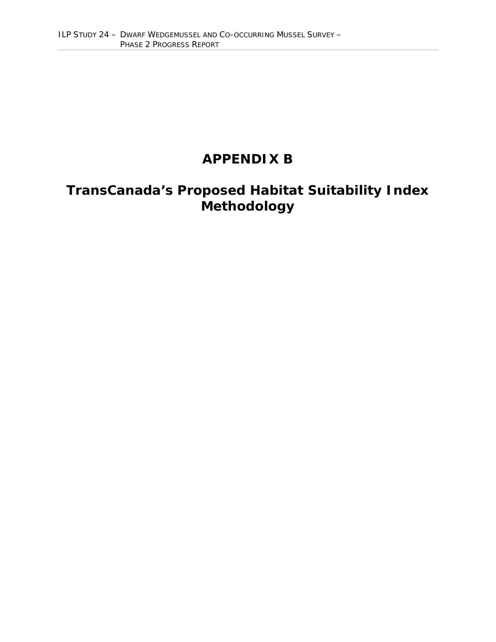## **APPENDIX B**

## **TransCanada's Proposed Habitat Suitability Index Methodology**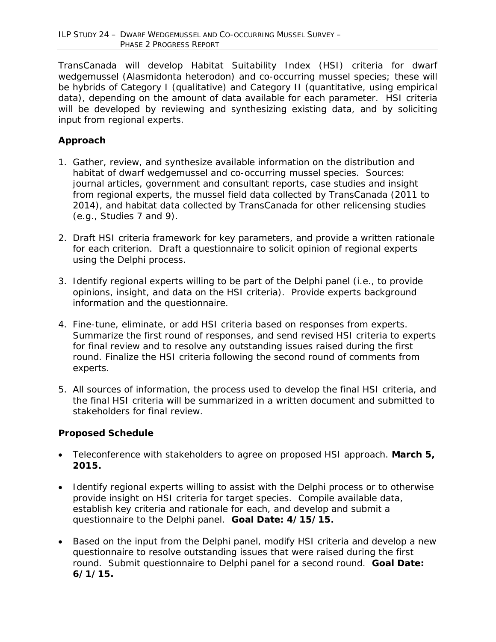TransCanada will develop Habitat Suitability Index (HSI) criteria for dwarf wedgemussel (*Alasmidonta heterodon*) and co-occurring mussel species; these will be hybrids of Category I (qualitative) and Category II (quantitative, using empirical data), depending on the amount of data available for each parameter. HSI criteria will be developed by reviewing and synthesizing existing data, and by soliciting input from regional experts.

#### **Approach**

- 1. Gather, review, and synthesize available information on the distribution and habitat of dwarf wedgemussel and co-occurring mussel species. Sources: journal articles, government and consultant reports, case studies and insight from regional experts, the mussel field data collected by TransCanada (2011 to 2014), and habitat data collected by TransCanada for other relicensing studies (e.g., Studies 7 and 9).
- 2. Draft HSI criteria framework for key parameters, and provide a written rationale for each criterion. Draft a questionnaire to solicit opinion of regional experts using the Delphi process.
- 3. Identify regional experts willing to be part of the Delphi panel (i.e., to provide opinions, insight, and data on the HSI criteria). Provide experts background information and the questionnaire.
- 4. Fine-tune, eliminate, or add HSI criteria based on responses from experts. Summarize the first round of responses, and send revised HSI criteria to experts for final review and to resolve any outstanding issues raised during the first round. Finalize the HSI criteria following the second round of comments from experts.
- 5. All sources of information, the process used to develop the final HSI criteria, and the final HSI criteria will be summarized in a written document and submitted to stakeholders for final review.

#### **Proposed Schedule**

- Teleconference with stakeholders to agree on proposed HSI approach. *March 5, 2015.*
- Identify regional experts willing to assist with the Delphi process or to otherwise provide insight on HSI criteria for target species. Compile available data, establish key criteria and rationale for each, and develop and submit a questionnaire to the Delphi panel. *Goal Date: 4/15/15.*
- Based on the input from the Delphi panel, modify HSI criteria and develop a new questionnaire to resolve outstanding issues that were raised during the first round. Submit questionnaire to Delphi panel for a second round. *Goal Date: 6/1/15.*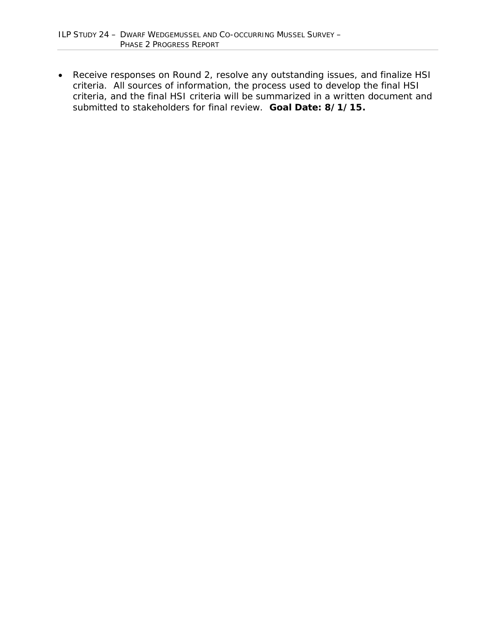• Receive responses on Round 2, resolve any outstanding issues, and finalize HSI criteria. All sources of information, the process used to develop the final HSI criteria, and the final HSI criteria will be summarized in a written document and submitted to stakeholders for final review. *Goal Date: 8/1/15.*